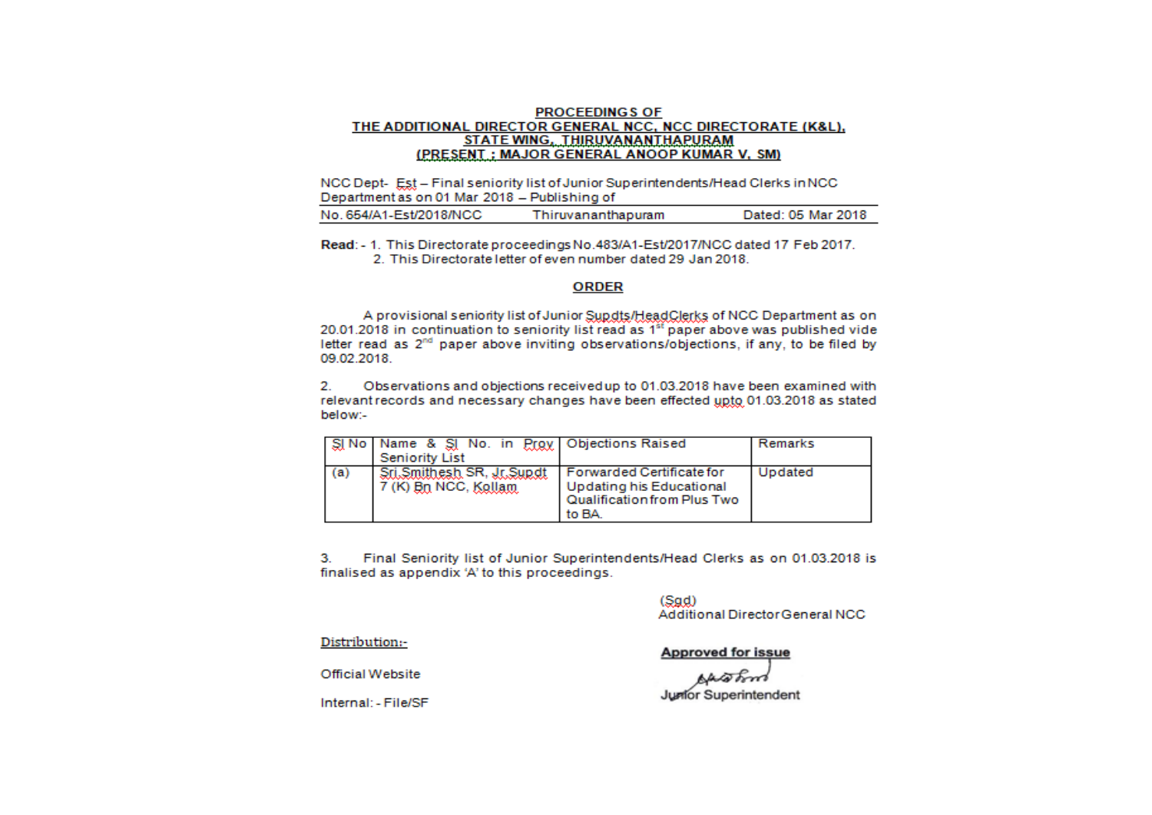## **PROCEEDINGS OF** THE ADDITIONAL DIRECTOR GENERAL NCC. NCC DIRECTORATE (K&L). STATE WING, THIRUVANANTHAPURAM (PRESENT: MAJOR GENERAL ANOOP KUMAR V. SM)

NCC Dept-Est - Final seniority list of Junior Superintendents/Head Clerks in NCC Department as on 01 Mar 2018 - Publishing of

|--|

Read: - 1. This Directorate proceedings No.483/A1-Est/2017/NCC dated 17 Feb 2017. 2. This Directorate letter of even number dated 29 Jan 2018.

## **ORDER**

A provisional seniority list of Junior Supdts/HeadClerks of NCC Department as on 20.01.2018 in continuation to seniority list read as 1<sup>st</sup> paper above was published vide letter read as 2<sup>nd</sup> paper above inviting observations/objections, if any, to be filed by 09.02.2018.

 $\mathbf{2}$ Observations and objections received up to 01.03.2018 have been examined with relevant records and necessary changes have been effected upto 01.03.2018 as stated below:-

|     | SINo   Name & SINo. in Prox   Objections Raised |                             | Remarks |
|-----|-------------------------------------------------|-----------------------------|---------|
|     | <b>Seniority List</b>                           |                             |         |
| (a) | Sri Smithesh SR, Jr Supdt                       | I Forwarded Certificate for | Updated |
|     | 7 (K) Bn NCC, Kallam                            | Updating his Educational    |         |
|     |                                                 | Qualification from Plus Two |         |
|     |                                                 | to BA.                      |         |

з. Final Seniority list of Junior Superintendents/Head Clerks as on 01.03.2018 is finalised as appendix 'A' to this proceedings.

> $(Sad)$ Additional Director General NCC

Distribution:-

**Approved for issue** 

Official Website

Internal: - File/SF

**Junfor Superintendent**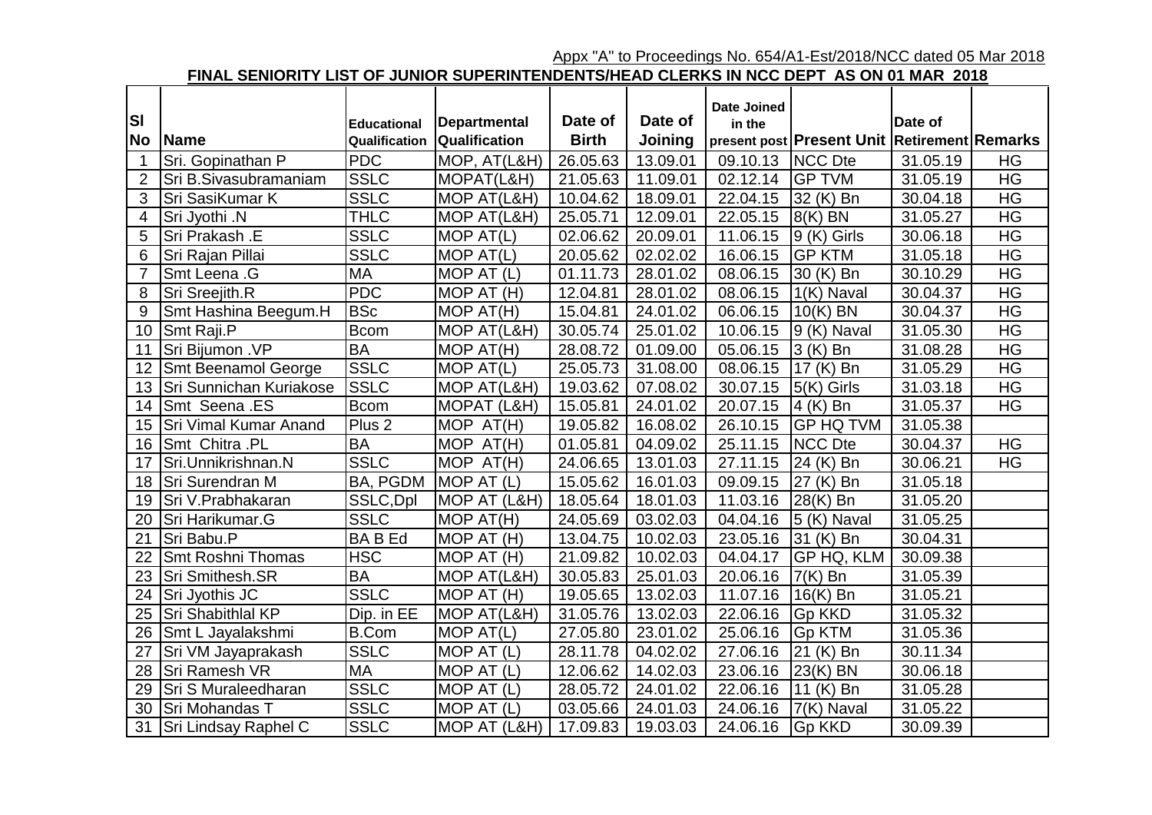Appx "A" to Proceedings No. 654/A1-Est/2018/NCC dated 05 Mar 2018

## **FINAL SENIORITY LIST OF JUNIOR SUPERINTENDENTS/HEAD CLERKS IN NCC DEPT AS ON 01 MAR 2018**

|                |                            |                   |                     |              |          | <b>Date Joined</b> |                                              |          |           |
|----------------|----------------------------|-------------------|---------------------|--------------|----------|--------------------|----------------------------------------------|----------|-----------|
| <b>SI</b>      |                            | Educational       | <b>Departmental</b> | Date of      | Date of  | in the             |                                              | Date of  |           |
| <b>No</b>      | <b>Name</b>                | Qualification     | Qualification       | <b>Birth</b> | Joining  |                    | present post Present Unit Retirement Remarks |          |           |
|                | Sri. Gopinathan P          | <b>PDC</b>        | MOP, AT(L&H)        | 26.05.63     | 13.09.01 | 09.10.13           | <b>NCC Dte</b>                               | 31.05.19 | HG        |
| $\overline{2}$ | Sri B.Sivasubramaniam      | <b>SSLC</b>       | MOPAT(L&H)          | 21.05.63     | 11.09.01 | 02.12.14           | <b>GP TVM</b>                                | 31.05.19 | HG        |
| 3              | Sri SasiKumar K            | <b>SSLC</b>       | MOP AT(L&H)         | 10.04.62     | 18.09.01 | 22.04.15           | 32 (K) Bn                                    | 30.04.18 | HG        |
| 4              | Sri Jyothi .N              | <b>THLC</b>       | MOP AT(L&H)         | 25.05.71     | 12.09.01 | 22.05.15           | $8(K)$ BN                                    | 31.05.27 | HG        |
| 5              | Sri Prakash .E             | <b>SSLC</b>       | MOP AT(L)           | 02.06.62     | 20.09.01 | 11.06.15           | $9$ (K) Girls                                | 30.06.18 | <b>HG</b> |
| 6              | Sri Rajan Pillai           | <b>SSLC</b>       | MOP AT(L)           | 20.05.62     | 02.02.02 | 16.06.15           | <b>GP KTM</b>                                | 31.05.18 | <b>HG</b> |
| $\overline{7}$ | Smt Leena .G               | <b>MA</b>         | MOP AT (L)          | 01.11.73     | 28.01.02 | 08.06.15           | 30 (K) Bn                                    | 30.10.29 | HG        |
| 8              | Sri Sreejith.R             | <b>PDC</b>        | MOP AT (H)          | 12.04.81     | 28.01.02 | 08.06.15           | 1(K) Naval                                   | 30.04.37 | <b>HG</b> |
| 9              | Smt Hashina Beegum.H       | <b>BSc</b>        | MOP AT(H)           | 15.04.81     | 24.01.02 | 06.06.15           | $10(K)$ BN                                   | 30.04.37 | HG        |
| 10             | Smt Raji.P                 | Bcom              | MOP AT(L&H)         | 30.05.74     | 25.01.02 | 10.06.15           | 9 (K) Naval                                  | 31.05.30 | HG        |
| 11             | Sri Bijumon .VP            | <b>BA</b>         | MOP AT(H)           | 28.08.72     | 01.09.00 | 05.06.15           | $3(K)$ Bn                                    | 31.08.28 | <b>HG</b> |
| 12             | <b>Smt Beenamol George</b> | <b>SSLC</b>       | MOP AT(L)           | 25.05.73     | 31.08.00 | 08.06.15           | 17 (K) Bn                                    | 31.05.29 | <b>HG</b> |
| 13             | Sri Sunnichan Kuriakose    | <b>SSLC</b>       | MOP AT(L&H)         | 19.03.62     | 07.08.02 | 30.07.15           | $5(K)$ Girls                                 | 31.03.18 | $H$ G     |
| 14             | <b>Smt Seena .ES</b>       | <b>Bcom</b>       | MOPAT (L&H)         | 15.05.81     | 24.01.02 | 20.07.15           | $4$ (K) Bn                                   | 31.05.37 | <b>HG</b> |
| 15             | Sri Vimal Kumar Anand      | Plus <sub>2</sub> | MOP AT(H)           | 19.05.82     | 16.08.02 | 26.10.15           | <b>GP HQ TVM</b>                             | 31.05.38 |           |
| 16             | Smt Chitra .PL             | <b>BA</b>         | MOP AT(H)           | 01.05.81     | 04.09.02 | 25.11.15           | <b>NCC Dte</b>                               | 30.04.37 | <b>HG</b> |
| 17             | Sri.Unnikrishnan.N         | <b>SSLC</b>       | MOP $AT(H)$         | 24.06.65     | 13.01.03 | 27.11.15           | 24 (K) Bn                                    | 30.06.21 | HG        |
| 18             | <b>Sri Surendran M</b>     | BA, PGDM          | MOP AT (L)          | 15.05.62     | 16.01.03 | 09.09.15           | 27 (K) Bn                                    | 31.05.18 |           |
| 19             | Sri V.Prabhakaran          | SSLC, Dpl         | MOP AT (L&H)        | 18.05.64     | 18.01.03 | 11.03.16           | 28(K) Bn                                     | 31.05.20 |           |
| 20             | Sri Harikumar.G            | <b>SSLC</b>       | MOP AT(H)           | 24.05.69     | 03.02.03 | 04.04.16           | 5 (K) Naval                                  | 31.05.25 |           |
| 21             | Sri Babu.P                 | <b>BABEd</b>      | MOP AT (H)          | 13.04.75     | 10.02.03 | 23.05.16           | 31 (K) Bn                                    | 30.04.31 |           |
| 22             | Smt Roshni Thomas          | <b>HSC</b>        | MOP AT (H)          | 21.09.82     | 10.02.03 | 04.04.17           | GP HQ, KLM                                   | 30.09.38 |           |
| 23             | Sri Smithesh.SR            | <b>BA</b>         | MOP AT(L&H)         | 30.05.83     | 25.01.03 | 20.06.16           | $7(K)$ Bn                                    | 31.05.39 |           |
| 24             | Sri Jyothis JC             | <b>SSLC</b>       | MOP AT (H)          | 19.05.65     | 13.02.03 | 11.07.16           | $16(K)$ Bn                                   | 31.05.21 |           |
| 25             | Sri Shabithlal KP          | Dip. in EE        | MOP AT(L&H)         | 31.05.76     | 13.02.03 | 22.06.16           | Gp KKD                                       | 31.05.32 |           |
| 26             | Smt L Jayalakshmi          | <b>B.Com</b>      | MOP AT(L)           | 27.05.80     | 23.01.02 | 25.06.16           | <b>Gp KTM</b>                                | 31.05.36 |           |
| 27             | Sri VM Jayaprakash         | <b>SSLC</b>       | MOP AT (L)          | 28.11.78     | 04.02.02 | 27.06.16           | 21 (K) Bn                                    | 30.11.34 |           |
| 28             | <b>Sri Ramesh VR</b>       | <b>MA</b>         | MOP AT (L)          | 12.06.62     | 14.02.03 | 23.06.16           | $23(K)$ BN                                   | 30.06.18 |           |
| 29             | Sri S Muraleedharan        | <b>SSLC</b>       | MOP AT $(L)$        | 28.05.72     | 24.01.02 | 22.06.16           | 11 (K) Bn                                    | 31.05.28 |           |
| 30             | Sri Mohandas T             | <b>SSLC</b>       | MOP AT (L)          | 03.05.66     | 24.01.03 | 24.06.16           | 7(K) Naval                                   | 31.05.22 |           |
|                | 31   Sri Lindsay Raphel C  | <b>SSLC</b>       | MOP AT (L&H)        | 17.09.83     | 19.03.03 | 24.06.16           | <b>Gp KKD</b>                                | 30.09.39 |           |